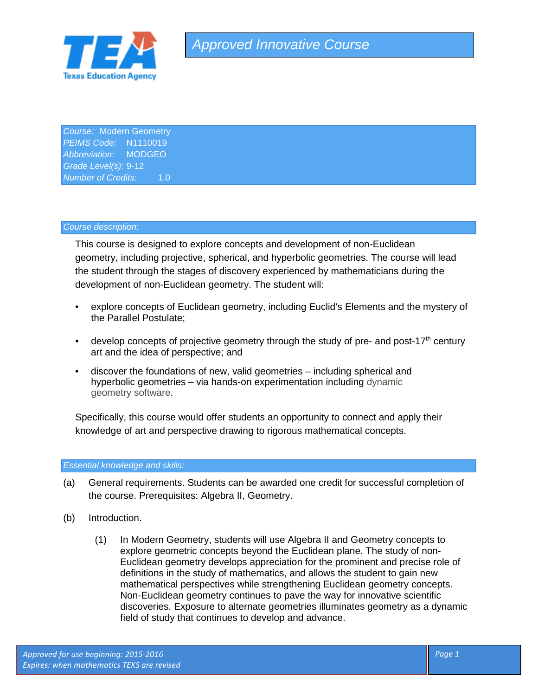

*Course:* Modern Geometry *PEIMS Code:* N1110019 *Abbreviation:* MODGEO *Grade Level(s):* 9-12 **Number of Credits:** 1.0

## *Course description:*

This course is designed to explore concepts and development of non-Euclidean geometry, including projective, spherical, and hyperbolic geometries. The course will lead the student through the stages of discovery experienced by mathematicians during the development of non-Euclidean geometry. The student will:

- explore concepts of Euclidean geometry, including Euclid's Elements and the mystery of the Parallel Postulate;
- develop concepts of projective geometry through the study of pre- and post-17<sup>th</sup> century art and the idea of perspective; and
- discover the foundations of new, valid geometries including spherical and hyperbolic geometries – via hands-on experimentation including dynamic geometry software.

Specifically, this course would offer students an opportunity to connect and apply their knowledge of art and perspective drawing to rigorous mathematical concepts.

## *Essential knowledge and skills:*

- (a) General requirements. Students can be awarded one credit for successful completion of the course. Prerequisites: Algebra II, Geometry.
- (b) Introduction.
	- (1) In Modern Geometry, students will use Algebra II and Geometry concepts to explore geometric concepts beyond the Euclidean plane. The study of non-Euclidean geometry develops appreciation for the prominent and precise role of definitions in the study of mathematics, and allows the student to gain new mathematical perspectives while strengthening Euclidean geometry concepts. Non-Euclidean geometry continues to pave the way for innovative scientific discoveries. Exposure to alternate geometries illuminates geometry as a dynamic field of study that continues to develop and advance.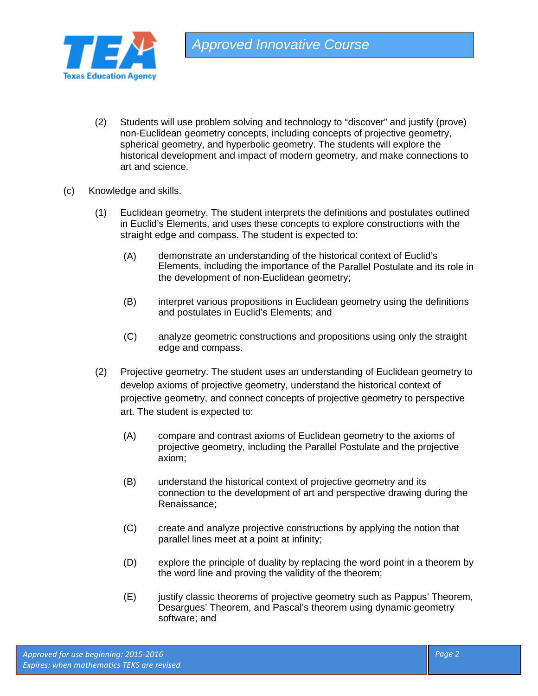

- (2) Students will use problem solving and technology to "discover" and justify (prove) non-Euclidean geometry concepts, including concepts of projective geometry, spherical geometry, and hyperbolic geometry. The students will explore the historical development and impact of modern geometry, and make connections to art and science.
- (c) Knowledge and skills.
	- (1) Euclidean geometry. The student interprets the definitions and postulates outlined in Euclid's Elements, and uses these concepts to explore constructions with the straight edge and compass. The student is expected to:
		- (A) demonstrate an understanding of the historical context of Euclid's Elements, including the importance of the Parallel Postulate and its role in the development of non-Euclidean geometry;
		- (B) interpret various propositions in Euclidean geometry using the definitions and postulates in Euclid's Elements; and
		- (C) analyze geometric constructions and propositions using only the straight edge and compass.
	- (2) Projective geometry. The student uses an understanding of Euclidean geometry to develop axioms of projective geometry, understand the historical context of projective geometry, and connect concepts of projective geometry to perspective art. The student is expected to:
		- (A) compare and contrast axioms of Euclidean geometry to the axioms of projective geometry, including the Parallel Postulate and the projective axiom;
		- (B) understand the historical context of projective geometry and its connection to the development of art and perspective drawing during the Renaissance;
		- (C) create and analyze projective constructions by applying the notion that parallel lines meet at a point at infinity;
		- (D) explore the principle of duality by replacing the word point in a theorem by the word line and proving the validity of the theorem;
		- (E) justify classic theorems of projective geometry such as Pappus' Theorem, Desargues' Theorem, and Pascal's theorem using dynamic geometry software; and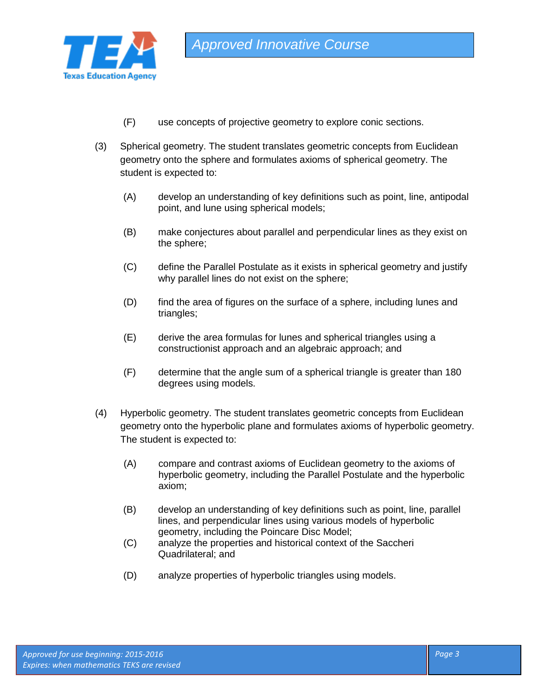

- (F) use concepts of projective geometry to explore conic sections.
- (3) Spherical geometry. The student translates geometric concepts from Euclidean geometry onto the sphere and formulates axioms of spherical geometry. The student is expected to:
	- (A) develop an understanding of key definitions such as point, line, antipodal point, and lune using spherical models;
	- (B) make conjectures about parallel and perpendicular lines as they exist on the sphere;
	- (C) define the Parallel Postulate as it exists in spherical geometry and justify why parallel lines do not exist on the sphere;
	- (D) find the area of figures on the surface of a sphere, including lunes and triangles;
	- (E) derive the area formulas for lunes and spherical triangles using a constructionist approach and an algebraic approach; and
	- (F) determine that the angle sum of a spherical triangle is greater than 180 degrees using models.
- (4) Hyperbolic geometry. The student translates geometric concepts from Euclidean geometry onto the hyperbolic plane and formulates axioms of hyperbolic geometry. The student is expected to:
	- (A) compare and contrast axioms of Euclidean geometry to the axioms of hyperbolic geometry, including the Parallel Postulate and the hyperbolic axiom;
	- (B) develop an understanding of key definitions such as point, line, parallel lines, and perpendicular lines using various models of hyperbolic geometry, including the Poincare Disc Model;
	- (C) analyze the properties and historical context of the Saccheri Quadrilateral; and
	- (D) analyze properties of hyperbolic triangles using models.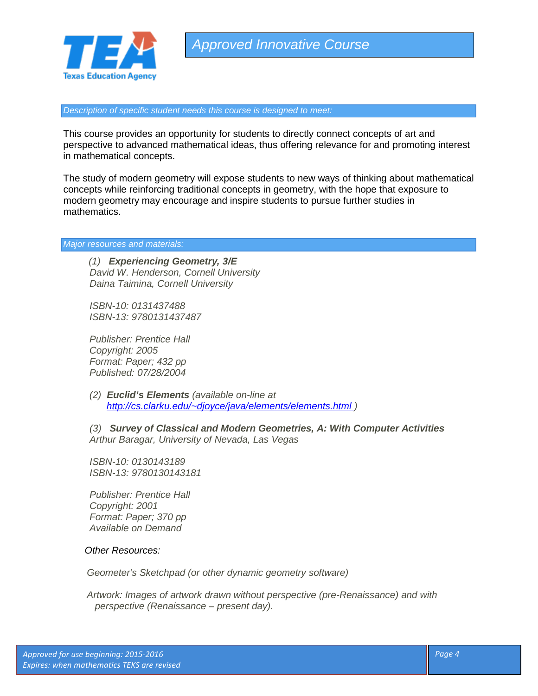

*Approved Innovative Course*

*Description of specific student needs this course is designed to meet:*

This course provides an opportunity for students to directly connect concepts of art and perspective to advanced mathematical ideas, thus offering relevance for and promoting interest in mathematical concepts.

The study of modern geometry will expose students to new ways of thinking about mathematical concepts while reinforcing traditional concepts in geometry, with the hope that exposure to modern geometry may encourage and inspire students to pursue further studies in mathematics.

*Major resources and materials:* 

*(1) Experiencing Geometry, 3/E David W. Henderson, Cornell University Daina Taimina, Cornell University*

*ISBN-10: 0131437488 ISBN-13: 9780131437487*

*Publisher: Prentice Hall Copyright: 2005 Format: Paper; 432 pp Published: 07/28/2004*

*(2) Euclid's Elements (available on-line at [http://cs.clarku.edu/~djoyce/java/elements/elements.html](http://cs.clarku.edu/%257Edjoyce/java/elements/elements.html) )*

*(3) Survey of Classical and Modern Geometries, A: With Computer Activities Arthur Baragar, University of Nevada, Las Vegas*

*ISBN-10: 0130143189 ISBN-13: 9780130143181*

*Publisher: Prentice Hall Copyright: 2001 Format: Paper; 370 pp Available on Demand*

## *Other Resources:*

*Geometer's Sketchpad (or other dynamic geometry software)*

*Artwork: Images of artwork drawn without perspective (pre-Renaissance) and with perspective (Renaissance – present day).*